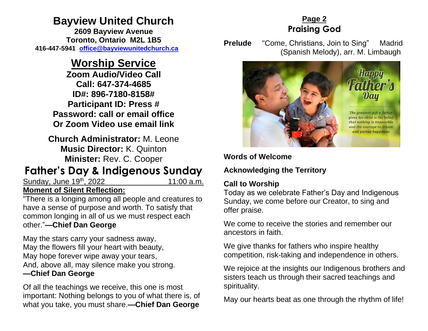# **Bayview United Church**

**2609 Bayview Avenue Toronto, Ontario M2L 1B5 416-447-5941 [office@bayviewunitedchurch.ca](mailto:office@bayviewunitedchurch.ca)**

# **Worship Service**

**Zoom Audio/Video Call Call: 647-374-4685 ID#: 896-7180-8158# Participant ID: Press # Password: call or email office Or Zoom Video use email link** 

**Church Administrator:** M. Leone **Music Director:** K. Quinton **Minister:** Rev. C. Cooper

# **Father's Day & Indigenous Sunday**

Sunday, June 19<sup>th</sup>, 2022 11:00 a.m.

## **Moment of Silent Reflection:**

"There is a longing among all people and creatures to have a sense of purpose and worth. To satisfy that common longing in all of us we must respect each other."**—Chief Dan George**

May the stars carry your sadness away, May the flowers fill your heart with beauty, May hope forever wipe away your tears, And, above all, may silence make you strong. **—Chief Dan George** 

Of all the teachings we receive, this one is most important: Nothing belongs to you of what there is, of what you take, you must share.**—Chief Dan George**

## **Page 2 Praising God**

**Prelude** "Come, Christians, Join to Sing" Madrid (Spanish Melody), arr. M. Limbaugh



## **Words of Welcome**

**Acknowledging the Territory**

## **Call to Worship**

Today as we celebrate Father's Day and Indigenous Sunday, we come before our Creator, to sing and offer praise.

We come to receive the stories and remember our ancestors in faith.

We give thanks for fathers who inspire healthy competition, risk-taking and independence in others.

We rejoice at the insights our Indigenous brothers and sisters teach us through their sacred teachings and spirituality.

May our hearts beat as one through the rhythm of life!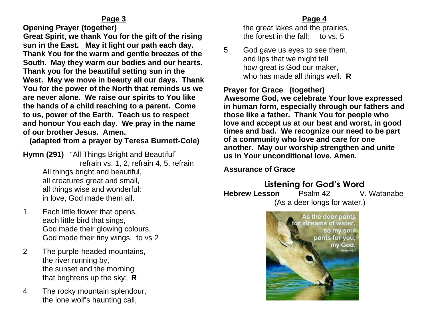**Opening Prayer (together)** 

 **Great Spirit, we thank You for the gift of the rising sun in the East. May it light our path each day. Thank You for the warm and gentle breezes of the South. May they warm our bodies and our hearts. Thank you for the beautiful setting sun in the West. May we move in beauty all our days. Thank You for the power of the North that reminds us we are never alone. We raise our spirits to You like the hands of a child reaching to a parent. Come to us, power of the Earth. Teach us to respect and honour You each day. We pray in the name of our brother Jesus. Amen.** 

## **(adapted from a prayer by Teresa Burnett-Cole)**

**Hymn (291)** "All Things Bright and Beautiful" refrain vs. 1, 2, refrain 4, 5, refrain All things bright and beautiful, all creatures great and small, all things wise and wonderful: in love, God made them all.

- 1 Each little flower that opens, each little bird that sings, God made their glowing colours, God made their tiny wings. to vs 2
- 2 The purple-headed mountains, the river running by, the sunset and the morning that brightens up the sky; **R**
- 4 The rocky mountain splendour, the lone wolf's haunting call,

### **Page 4**

the great lakes and the prairies, the forest in the fall; to vs. 5

5 God gave us eyes to see them, and lips that we might tell how great is God our maker, who has made all things well. **R**

## **Prayer for Grace (together)**

 **Awesome God, we celebrate Your love expressed in human form, especially through our fathers and those like a father. Thank You for people who love and accept us at our best and worst, in good times and bad. We recognize our need to be part of a community who love and care for one another. May our worship strengthen and unite us in Your unconditional love. Amen.**

## **Assurance of Grace**

**Listening for God's Word Hebrew Lesson** Psalm 42 V. Watanabe (As a deer longs for water.)

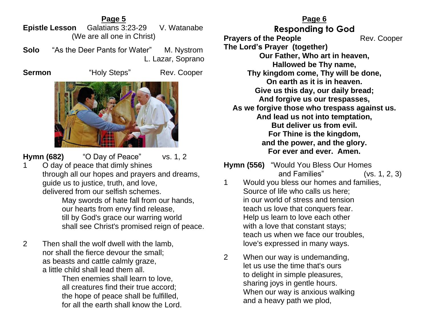#### **Page 5 Epistle Lesson** Galatians 3:23-29 V. Watanabe (We are all one in Christ)

**Solo** "As the Deer Pants for Water"M. Nystrom L. Lazar, Soprano

**Sermon** "Holy Steps" Rev. Cooper



**Hymn (682)** "O Day of Peace" vs. 1, 2

1 O day of peace that dimly shines through all our hopes and prayers and dreams, guide us to justice, truth, and love, delivered from our selfish schemes.

May swords of hate fall from our hands, our hearts from envy find release, till by God's grace our warring world shall see Christ's promised reign of peace.

2 Then shall the wolf dwell with the lamb, nor shall the fierce devour the small; as beasts and cattle calmly graze, a little child shall lead them all.

Then enemies shall learn to love, all creatures find their true accord; the hope of peace shall be fulfilled, for all the earth shall know the Lord.

#### **Page 6**

**Responding to God Prayers of the People Rev. Cooper The Lord's Prayer (together) Our Father, Who art in heaven, Hallowed be Thy name, Thy kingdom come, Thy will be done, On earth as it is in heaven. Give us this day, our daily bread; And forgive us our trespasses, As we forgive those who trespass against us. And lead us not into temptation, But deliver us from evil. For Thine is the kingdom, and the power, and the glory. For ever and ever. Amen.**

**Hymn (556)** "Would You Bless Our Homes and Families" (vs. 1, 2, 3)

- 1 Would you bless our homes and families, Source of life who calls us here; in our world of stress and tension teach us love that conquers fear. Help us learn to love each other with a love that constant stays; teach us when we face our troubles, love's expressed in many ways.
- 2 When our way is undemanding, let us use the time that's ours to delight in simple pleasures, sharing joys in gentle hours. When our way is anxious walking and a heavy path we plod,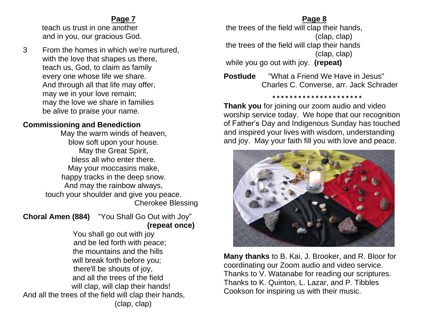### **Page 7**

 teach us trust in one another and in you, our gracious God.

3 From the homes in which we're nurtured, with the love that shapes us there, teach us, God, to claim as family every one whose life we share. And through all that life may offer, may we in your love remain; may the love we share in families be alive to praise your name.

## **Commissioning and Benediction**

May the warm winds of heaven, blow soft upon your house. May the Great Spirit, bless all who enter there. May your moccasins make, happy tracks in the deep snow. And may the rainbow always, touch your shoulder and give you peace. Cherokee Blessing

### **Choral Amen (884)** "You Shall Go Out with Joy"  **(repeat once)**

You shall go out with joy and be led forth with peace; the mountains and the hills will break forth before you; there'll be shouts of joy, and all the trees of the field will clap, will clap their hands! And all the trees of the field will clap their hands, (clap, clap)

### **Page 8**

the trees of the field will clap their hands, (clap, clap) the trees of the field will clap their hands (clap, clap) while you go out with joy. **(repeat)**

**Postlude** "What a Friend We Have in Jesus" Charles C. Converse, arr. Jack Schrader

 **\* \* \* \* \* \* \* \* \* \* \* \* \* \* \* \* \* \* \* \* \*** 

**Thank you** for joining our zoom audio and video worship service today. We hope that our recognition of Father's Day and Indigenous Sunday has touched and inspired your lives with wisdom, understanding and joy. May your faith fill you with love and peace.



**Many thanks** to B. Kai, J. Brooker, and R. Bloor for coordinating our Zoom audio and video service. Thanks to V. Watanabe for reading our scriptures. Thanks to K. Quinton, L. Lazar, and P. Tibbles Cookson for inspiring us with their music.